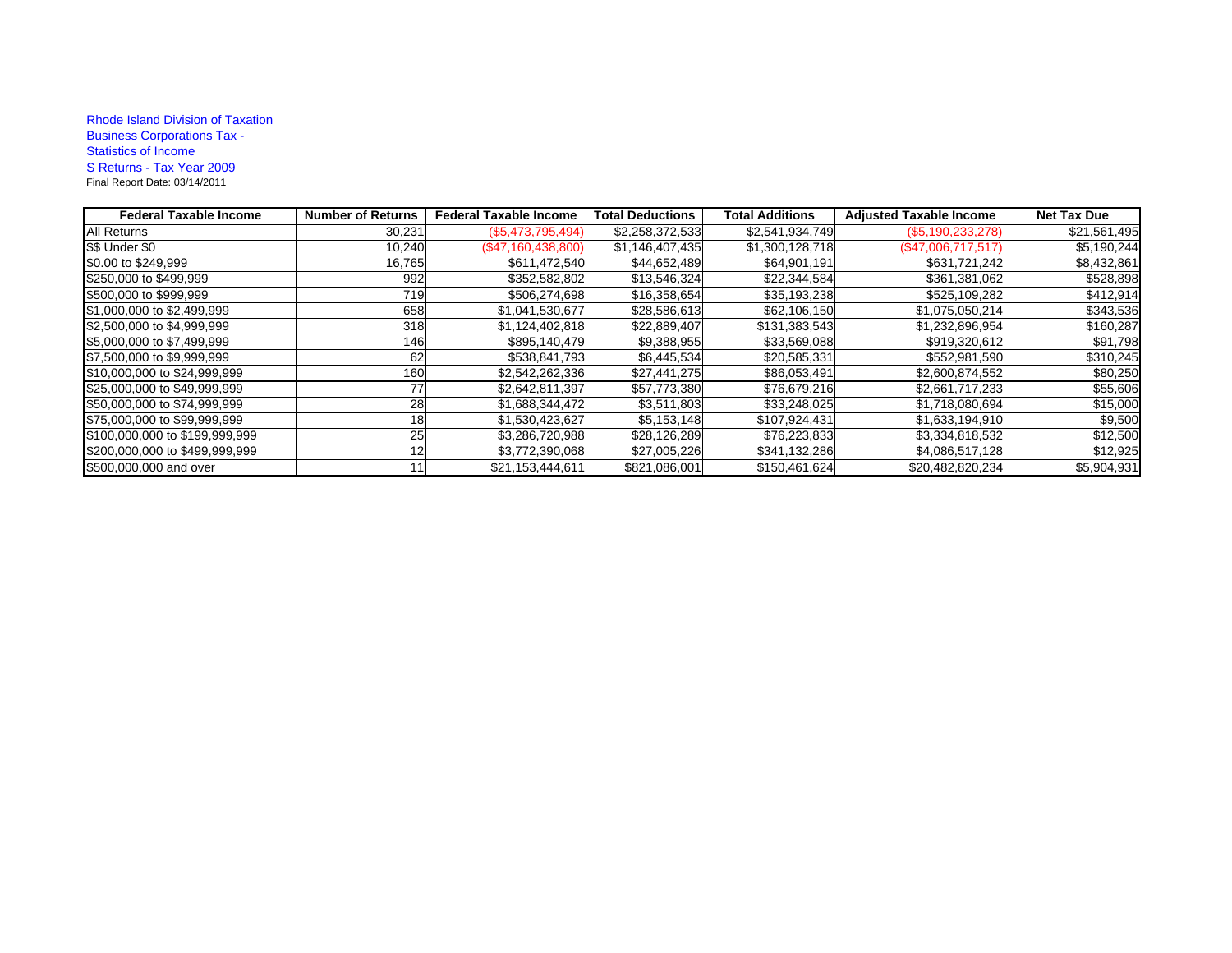## Rhode Island Division of Taxation Business Corporations Tax - Statistics of Income S Returns - Tax Year 2009 Final Report Date: 03/14/2011

| <b>Federal Taxable Income</b>  | <b>Number of Returns</b> | <b>Federal Taxable Income</b> | <b>Total Deductions</b> | <b>Total Additions</b> | <b>Adjusted Taxable Income</b> | <b>Net Tax Due</b> |
|--------------------------------|--------------------------|-------------------------------|-------------------------|------------------------|--------------------------------|--------------------|
| All Returns                    | 30,231                   | (\$5,473,795,494)             | \$2,258,372,533         | \$2,541,934,749        | $(\$5,190,233,278)$            | \$21,561,495       |
| \$\$ Under \$0                 | 10,240                   | (\$47,160,438,800)            | \$1,146,407,435         | \$1,300,128,718        | $(\$47,006,717,517)$           | \$5,190,244        |
| \$0.00 to \$249,999            | 16,765                   | \$611,472,540                 | \$44,652,489            | \$64,901,191           | \$631,721,242                  | \$8,432,861        |
| \$250,000 to \$499,999         | 992                      | \$352,582,802                 | \$13,546,324            | \$22,344,584           | \$361,381,062                  | \$528,898          |
| \$500,000 to \$999,999         | 719                      | \$506,274,698                 | \$16,358,654            | \$35,193,238           | \$525,109,282                  | \$412,914          |
| \$1,000,000 to \$2,499,999     | 658                      | \$1,041,530,677               | \$28,586,613            | \$62,106,150           | \$1,075,050,214                | \$343,536          |
| \$2,500,000 to \$4,999,999     | 318                      | \$1,124,402,818               | \$22,889,407            | \$131,383,543          | \$1,232,896,954                | \$160,287          |
| \$5,000,000 to \$7,499,999     | 146                      | \$895,140,479                 | \$9,388,955             | \$33,569,088           | \$919,320,612                  | \$91,798           |
| \$7,500,000 to \$9,999,999     | 62                       | \$538,841,793                 | \$6,445,534             | \$20,585,331           | \$552,981,590                  | \$310,245          |
| \$10,000,000 to \$24,999,999   | 160                      | \$2,542,262,336               | \$27,441,275            | \$86,053,491           | \$2,600,874,552                | \$80,250           |
| \$25,000,000 to \$49,999,999   | 77                       | \$2,642,811,397               | \$57,773,380            | \$76,679,216           | \$2,661,717,233                | \$55,606           |
| \$50,000,000 to \$74,999,999   | 28                       | \$1,688,344,472               | \$3,511,803             | \$33,248,025           | \$1,718,080,694                | \$15,000           |
| \$75,000,000 to \$99,999,999   | 18 <sup>1</sup>          | \$1,530,423,627               | \$5,153,148             | \$107,924,431          | \$1,633,194,910                | \$9,500            |
| \$100,000,000 to \$199,999,999 | 25 <sub>l</sub>          | \$3,286,720,988               | \$28,126,289            | \$76,223,833           | \$3,334,818,532                | \$12,500           |
| \$200,000,000 to \$499,999,999 | 12 <sub>1</sub>          | \$3,772,390,068               | \$27,005,226            | \$341,132,286          | \$4,086,517,128                | \$12,925           |
| \$500,000,000 and over         | 11                       | \$21,153,444,611              | \$821,086,001           | \$150,461,624          | \$20,482,820,234               | \$5,904,931        |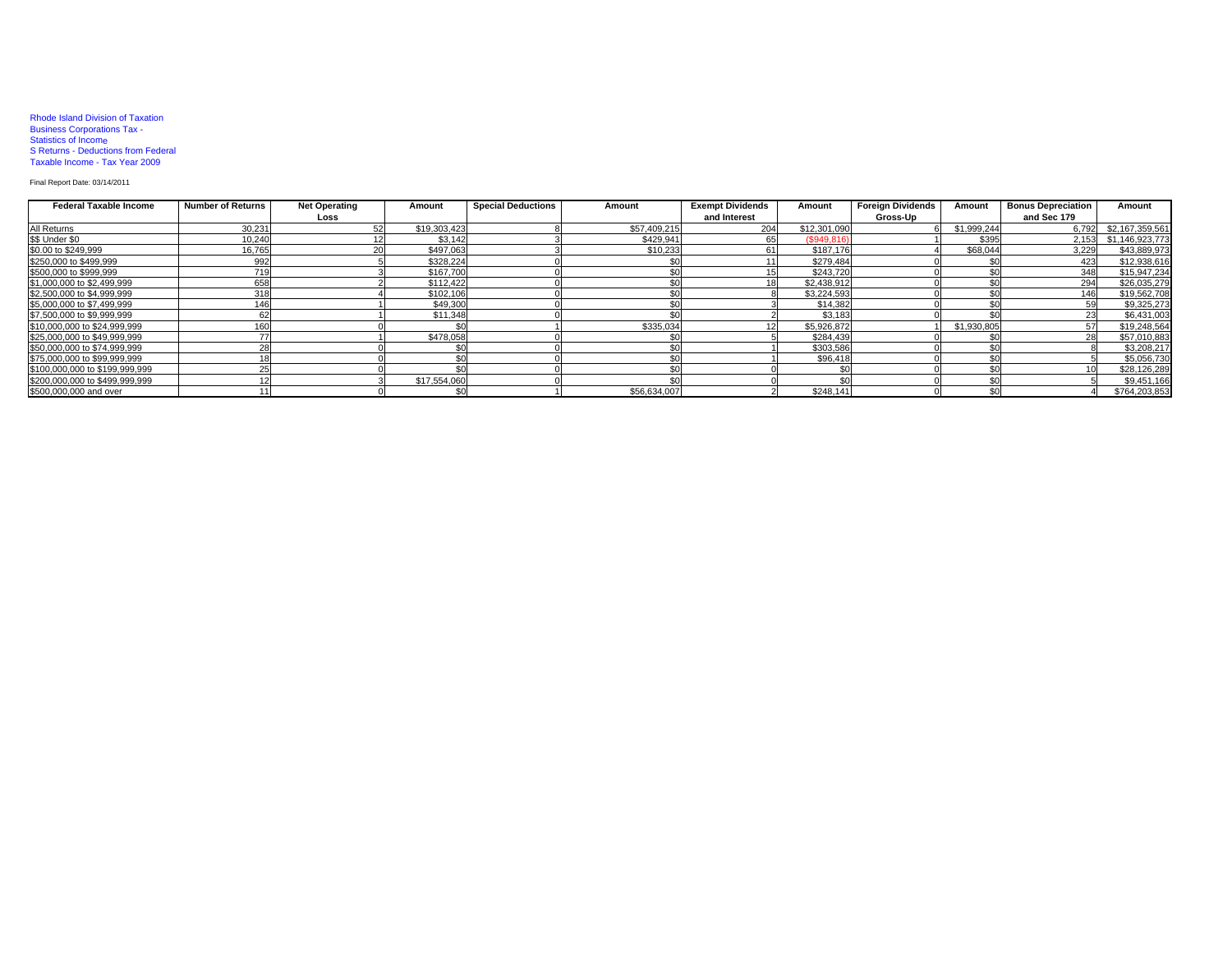### Rhode Island Division of Taxation Business Corporations Tax - Statistics of Income S Returns - Deductions from Federal Taxable Income - Tax Year 2009

#### Final Report Date: 03/14/2011

| <b>Federal Taxable Income</b>  | <b>Number of Returns</b> | <b>Net Operating</b> | Amount         | <b>Special Deductions</b> | Amount       | <b>Exempt Dividends</b> | Amount       | <b>Foreign Dividends</b> |             | <b>Bonus Depreciation</b> | Amount                |
|--------------------------------|--------------------------|----------------------|----------------|---------------------------|--------------|-------------------------|--------------|--------------------------|-------------|---------------------------|-----------------------|
|                                |                          | Loss                 |                |                           |              | and Interest            |              | Gross-Up                 |             | and Sec 179               |                       |
| All Returns                    | 30,231                   |                      | \$19,303,423   |                           | \$57,409,215 | 204                     | \$12,301,090 |                          | \$1,999,244 |                           | 6,792 \$2,167,359,561 |
| \$\$ Under \$0                 | 10,240                   |                      | \$3.142        |                           | \$429,941    | 65                      | (S949.816)   |                          | \$395       |                           | 2,153 \$1,146,923,773 |
| \$0.00 to \$249,999            | 16.765                   |                      | \$497.063      |                           | \$10,233     | 61                      | \$187.176    |                          | \$68.044    | 3.229                     | \$43,889,973          |
| \$250,000 to \$499,999         | 992                      |                      | \$328,224      |                           |              |                         | \$279.484    |                          |             | 423                       | \$12,938,616          |
| \$500,000 to \$999,999         | 719                      |                      | \$167,700      |                           |              |                         | \$243,720    |                          |             | 348                       | \$15,947,234          |
| \$1,000,000 to \$2,499,999     | 658                      |                      | \$112,422      |                           |              |                         | \$2,438.912  |                          |             | 294                       | \$26,035,279          |
| \$2,500,000 to \$4,999,999     | 318                      |                      | \$102,106      |                           |              |                         | \$3,224,593  |                          |             | 146                       | \$19,562,708          |
| \$5,000,000 to \$7,499,999     | 146                      |                      | \$49,300       |                           |              |                         | \$14,382     |                          |             | 59                        | \$9,325,273           |
| \$7,500,000 to \$9,999,999     | 62                       |                      | \$11,348       |                           |              |                         | \$3.183      |                          |             | 23                        | \$6,431,003           |
| \$10,000,000 to \$24,999,999   | 160                      |                      |                |                           | \$335,034    |                         | \$5,926,872  |                          | \$1,930,805 | 57                        | \$19,248,564          |
| \$25,000,000 to \$49,999,999   |                          |                      | \$478,058      |                           |              |                         | \$284,439    |                          |             | 28                        | \$57,010,883          |
| \$50,000,000 to \$74,999,999   |                          |                      |                |                           |              |                         | \$303.586    |                          |             |                           | \$3,208,217           |
| \$75,000,000 to \$99,999,999   |                          |                      | C <sub>0</sub> |                           |              |                         | \$96,418     |                          |             |                           | \$5,056,730           |
| \$100,000,000 to \$199,999,999 |                          |                      |                |                           |              |                         |              |                          |             |                           | \$28,126,289          |
| \$200,000,000 to \$499,999,999 |                          |                      | \$17,554,060   |                           |              |                         |              |                          |             |                           | \$9,451,166           |
| \$500,000,000 and over         |                          |                      | \$0            |                           | \$56,634,007 |                         | \$248,141    |                          |             |                           | \$764,203,853         |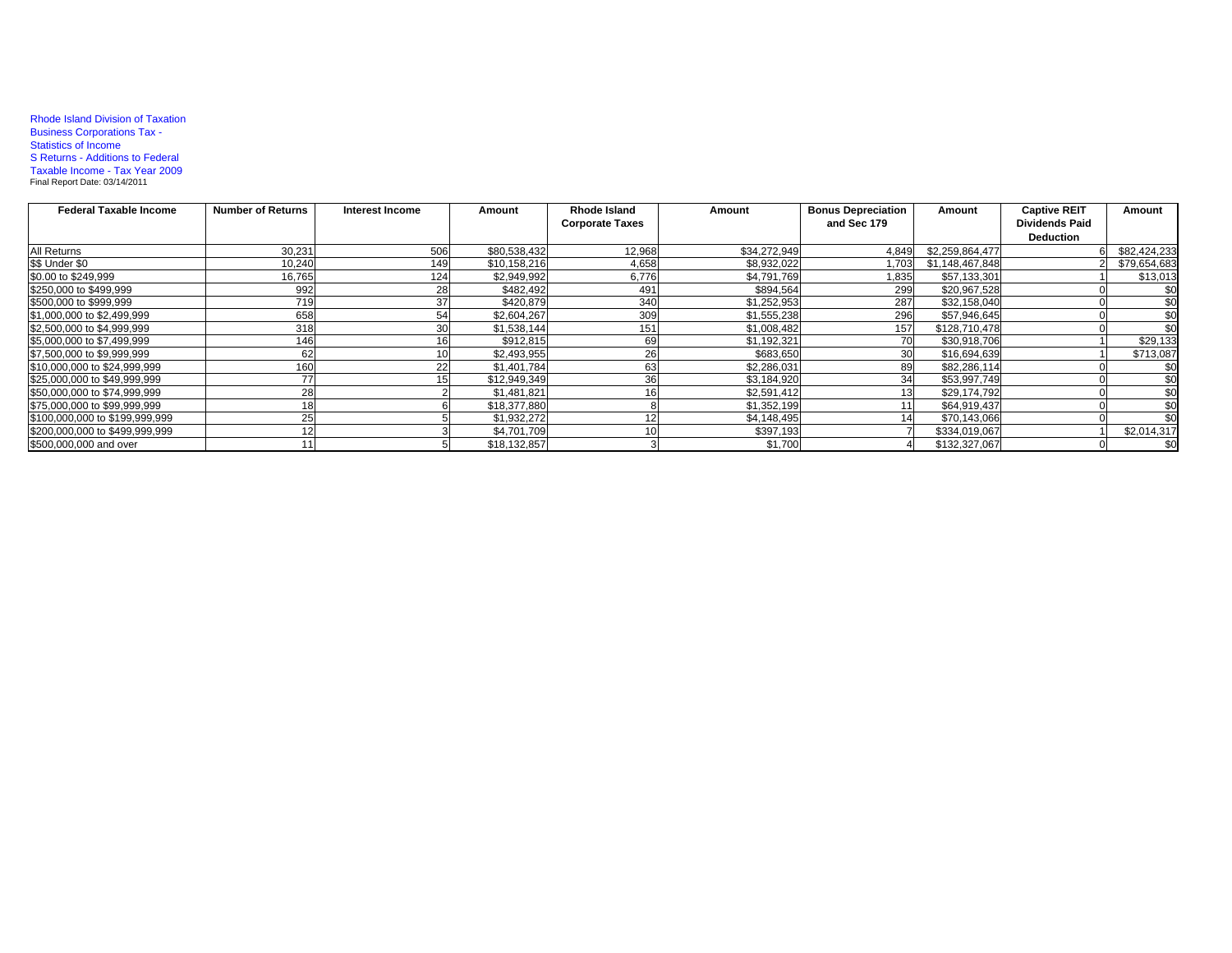## Rhode Island Division of Taxation Business Corporations Tax - Statistics of Income S Returns - Additions to Federal Taxable Income - Tax Year 2009 Final Report Date: 03/14/2011

| <b>Federal Taxable Income</b>  | <b>Number of Returns</b> | Interest Income | Amount       | Rhode Island           | Amount       | <b>Bonus Depreciation</b> | Amount          | <b>Captive REIT</b>   | Amount       |
|--------------------------------|--------------------------|-----------------|--------------|------------------------|--------------|---------------------------|-----------------|-----------------------|--------------|
|                                |                          |                 |              | <b>Corporate Taxes</b> |              | and Sec 179               |                 | <b>Dividends Paid</b> |              |
|                                |                          |                 |              |                        |              |                           |                 | <b>Deduction</b>      |              |
| All Returns                    | 30.231                   | 506             | \$80,538,432 | 12,968                 | \$34,272,949 | 4,849                     | \$2,259,864,477 |                       | \$82,424,233 |
| \$\$ Under \$0                 | 10,240                   | 149             | \$10,158,216 | 4,658                  | \$8,932,022  | 1.703                     | \$1,148,467,848 |                       | \$79,654,683 |
| \$0.00 to \$249,999            | 16,765                   | 124             | \$2,949,992  | 6,776                  | \$4,791,769  | 1,835                     | \$57,133,301    |                       | \$13,013     |
| \$250,000 to \$499,999         | 992                      | 28              | \$482.492    | 491                    | \$894,564    | 299                       | \$20,967,528    |                       | \$0          |
| \$500,000 to \$999,999         | 719                      |                 | \$420,879    | 340                    | \$1,252,953  | 287                       | \$32,158,040    |                       | \$0          |
| \$1,000,000 to \$2,499,999     | 658                      |                 | \$2,604,267  | 309                    | \$1,555,238  | 296                       | \$57,946,645    |                       | \$0          |
| \$2,500,000 to \$4,999,999     | 318                      |                 | \$1.538.144  | 151                    | \$1,008,482  | 157                       | \$128,710,478   |                       | \$0          |
| \$5,000,000 to \$7,499,999     | 146                      |                 | \$912,815    | 69                     | \$1,192,321  |                           | \$30,918,706    |                       | \$29,133     |
| \$7,500,000 to \$9,999,999     | 62                       |                 | \$2,493,955  | 26                     | \$683,650    |                           | \$16,694,639    |                       | \$713,087    |
| \$10,000,000 to \$24,999.999   | 160                      |                 | \$1,401,784  | 63                     | \$2,286,031  |                           | \$82,286,114    |                       | \$0          |
| \$25,000,000 to \$49,999,999   | 77                       |                 | \$12,949,349 | 36                     | \$3,184,920  |                           | \$53,997,749    |                       | \$0          |
| \$50,000,000 to \$74,999,999   | 28                       |                 | \$1,481,821  | 16                     | \$2,591,412  |                           | \$29,174,792    |                       | \$0          |
| \$75,000,000 to \$99,999,999   |                          |                 | \$18,377,880 |                        | \$1,352,199  |                           | \$64,919,437    |                       | \$0          |
| \$100,000,000 to \$199,999,999 | 25                       |                 | \$1,932,272  |                        | \$4,148,495  |                           | \$70,143,066    |                       | \$0          |
| \$200,000,000 to \$499,999,999 |                          |                 | \$4,701,709  |                        | \$397,193    |                           | \$334,019,067   |                       | \$2,014,317  |
| \$500,000,000 and over         |                          |                 | \$18,132,857 |                        | \$1,700      |                           | \$132,327,067   |                       | \$0          |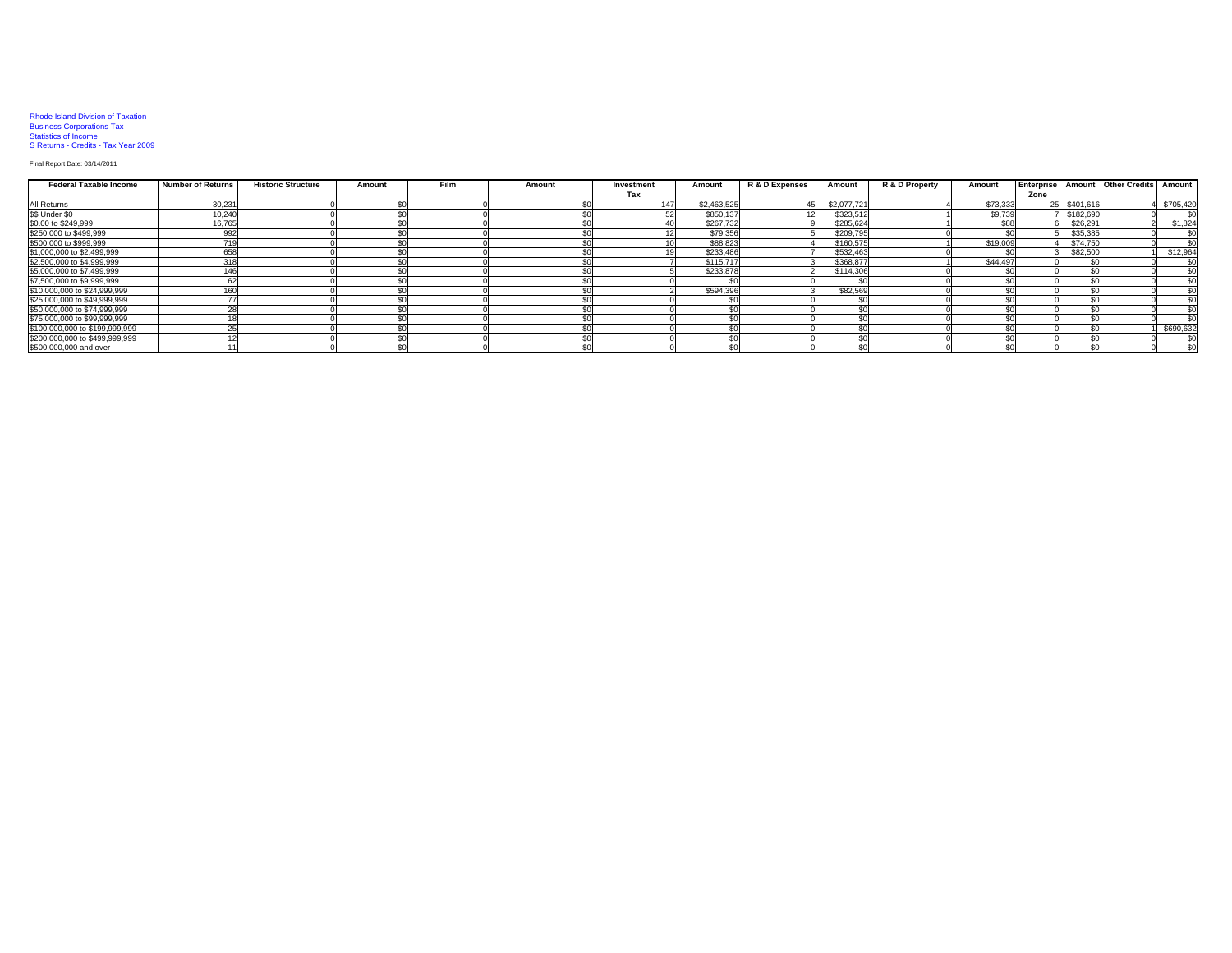# Rhode Island Division of Taxation Business Corporations Tax - Statistics of Income S Returns - Credits - Tax Year 2009

#### Final Report Date: 03/14/2011

| <b>Federal Taxable Income</b>  | <b>Number of Returns</b> | <b>Historic Structure</b> | Amount | <b>Film</b> | Amount | Investment | Amount      | R & D Expenses | Amount      | R & D Property | Amount   |      |           | Enterprise Amount Other Credits | Amount    |
|--------------------------------|--------------------------|---------------------------|--------|-------------|--------|------------|-------------|----------------|-------------|----------------|----------|------|-----------|---------------------------------|-----------|
|                                |                          |                           |        |             |        | Tax        |             |                |             |                |          | Zone |           |                                 |           |
| All Returns                    | 30,23                    |                           |        |             |        |            | \$2,463,525 |                | \$2,077,721 |                | \$73,333 | 25   | \$401,616 |                                 | \$705,420 |
| \$\$ Under \$0                 | 10,240                   |                           |        |             |        |            | \$850,137   |                | \$323,51    |                | \$9,739  |      | \$182,690 |                                 |           |
| \$0.00 to \$249,999            | 16,765                   |                           |        |             |        |            | \$267.732   |                | \$285,624   |                | \$88     |      | \$26,291  |                                 | \$1,824   |
| \$250,000 to \$499,999         | 992                      |                           |        |             |        |            | \$79,356    |                | \$209,79    |                |          |      | \$35,385  |                                 | \$0       |
| \$500,000 to \$999,999         | 74C                      |                           |        |             |        |            | \$88,823    |                | \$160,575   |                | \$19,009 |      | \$74.750  |                                 | \$0       |
| \$1,000,000 to \$2,499,999     | 658                      |                           |        |             |        |            | \$233,486   |                | \$532,463   |                |          |      | \$82,500  |                                 | \$12,964  |
| \$2,500,000 to \$4,999,999     | 318                      |                           |        |             |        |            | \$115,717   |                | \$368,877   |                | \$44,497 |      |           |                                 | \$0       |
| \$5,000,000 to \$7,499,999     |                          |                           |        |             |        |            | \$233,878   |                | \$114,30    |                |          |      |           |                                 | \$0       |
| \$7,500,000 to \$9,999,999     |                          |                           |        |             |        |            |             |                |             |                |          |      |           |                                 | \$0       |
| \$10,000,000 to \$24,999,999   |                          |                           |        |             |        |            | \$594,396   |                | \$82,569    |                |          |      |           |                                 | \$0       |
| \$25,000,000 to \$49,999,999   |                          |                           |        |             |        |            |             |                |             |                |          |      |           |                                 | \$0       |
| \$50,000,000 to \$74,999,999   |                          |                           |        |             |        |            |             |                |             |                |          |      |           |                                 | \$0       |
| \$75,000,000 to \$99,999,999   |                          |                           |        |             |        |            |             |                |             |                |          |      |           |                                 | \$0       |
| \$100,000,000 to \$199,999,999 |                          |                           |        |             |        |            |             |                |             |                |          |      |           |                                 | \$690,632 |
| \$200,000,000 to \$499,999,999 |                          |                           |        |             |        |            |             |                |             |                |          |      |           |                                 | \$0       |
| \$500,000,000 and over         |                          |                           |        |             |        |            |             |                |             |                |          |      |           |                                 | \$0       |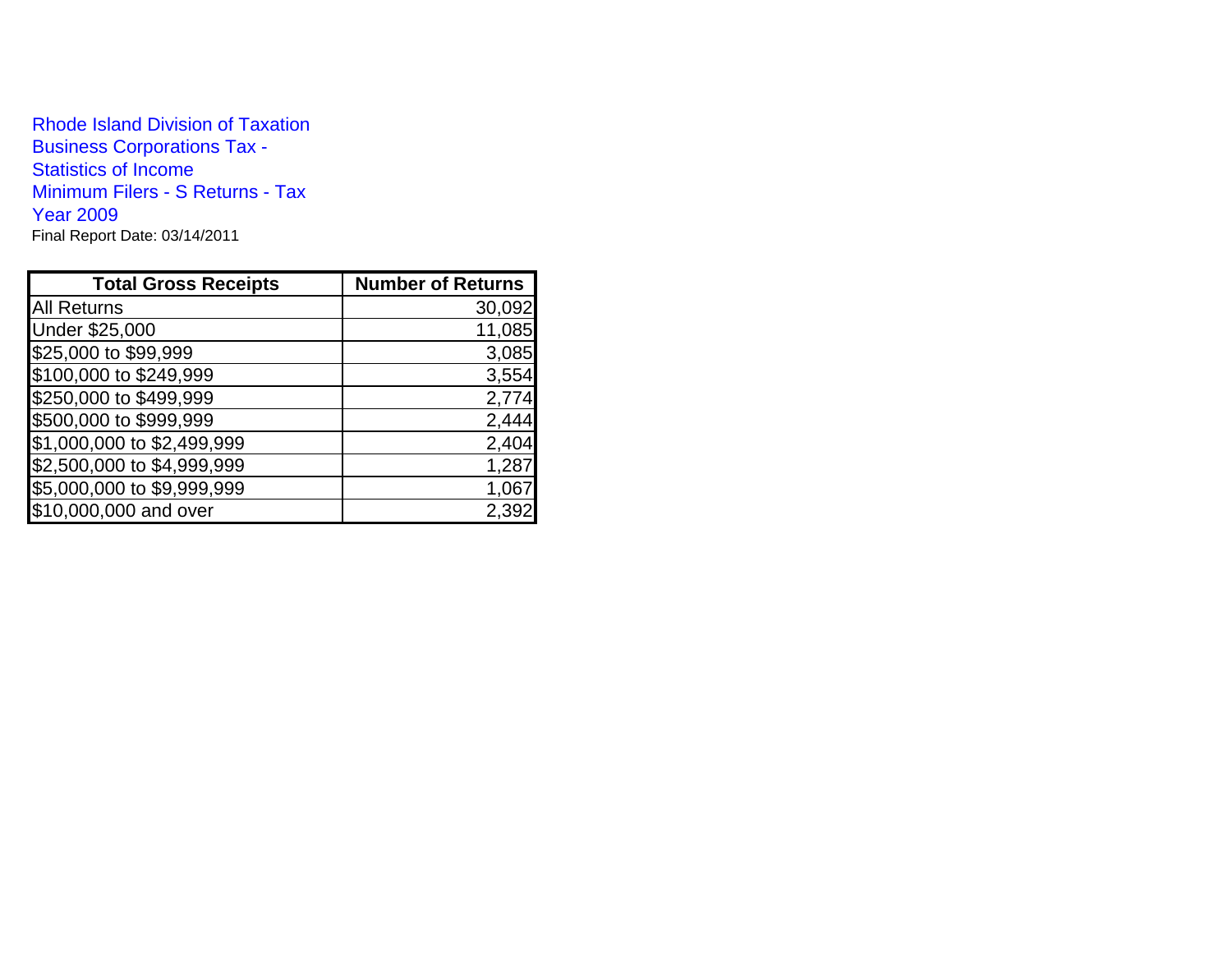Rhode Island Division of TaxationBusiness Corporations Tax - Statistics of Income Minimum Filers - S Returns - Tax Year 2009Final Report Date: 03/14/2011

| <b>Total Gross Receipts</b> | <b>Number of Returns</b> |
|-----------------------------|--------------------------|
| <b>All Returns</b>          | 30,092                   |
| Under \$25,000              | 11,085                   |
| \$25,000 to \$99,999        | 3,085                    |
| \$100,000 to \$249,999      | 3,554                    |
| \$250,000 to \$499,999      | 2,774                    |
| \$500,000 to \$999,999      | 2,444                    |
| \$1,000,000 to \$2,499,999  | 2,404                    |
| \$2,500,000 to \$4,999,999  | 1,287                    |
| \$5,000,000 to \$9,999,999  | 1,067                    |
| \$10,000,000 and over       | 2,39                     |